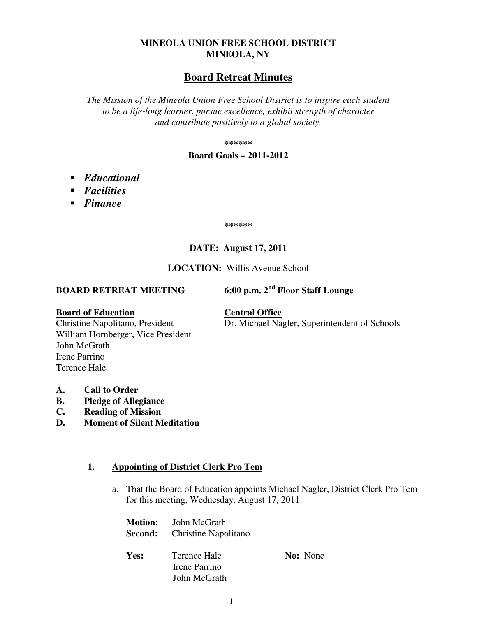## **MINEOLA UNION FREE SCHOOL DISTRICT MINEOLA, NY**

# **Board Retreat Minutes**

*The Mission of the Mineola Union Free School District is to inspire each student to be a life-long learner, pursue excellence, exhibit strength of character and contribute positively to a global society.* 

**\*\*\*\*\*\*** 

### **Board Goals – 2011-2012**

- *Educational*
- *Facilities*
- *Finance*

**\*\*\*\*\*\*** 

# **DATE: August 17, 2011**

### **LOCATION:** Willis Avenue School

# **BOARD RETREAT MEETING 6:00 p.m. 2nd Floor Staff Lounge**

Dr. Michael Nagler, Superintendent of Schools

**Board of Education**<br>Christine Napolitano, President **Central Office**<br>Dr. Michael Na William Hornberger, Vice President John McGrath Irene Parrino Terence Hale

- **A. Call to Order**
- **B. Pledge of Allegiance**
- **C. Reading of Mission**
- **D. Moment of Silent Meditation**

## **1. Appointing of District Clerk Pro Tem**

a. That the Board of Education appoints Michael Nagler, District Clerk Pro Tem for this meeting, Wednesday, August 17, 2011.

|      | <b>Motion:</b> John McGrath<br><b>Second:</b> Christine Napolitano |                 |
|------|--------------------------------------------------------------------|-----------------|
| Yes: | Terence Hale<br>Irene Parrino<br>John McGrath                      | <b>No:</b> None |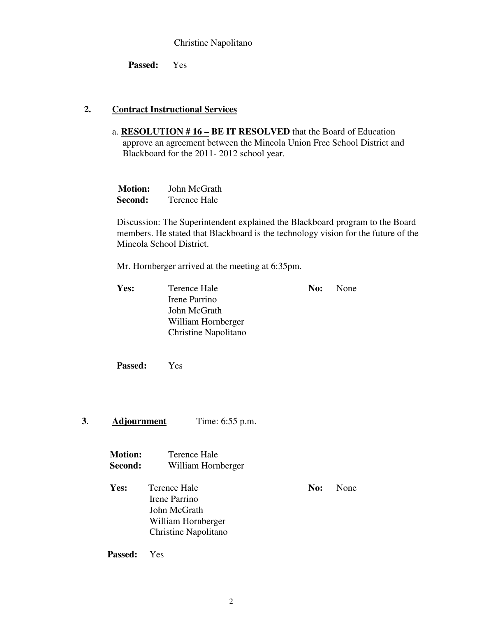### Christine Napolitano

 **Passed:** Yes

### **2. Contract Instructional Services**

a. **RESOLUTION # 16 – BE IT RESOLVED** that the Board of Education approve an agreement between the Mineola Union Free School District and Blackboard for the 2011- 2012 school year.

| <b>Motion:</b> | John McGrath |
|----------------|--------------|
| Second:        | Terence Hale |

Discussion: The Superintendent explained the Blackboard program to the Board members. He stated that Blackboard is the technology vision for the future of the Mineola School District.

Mr. Hornberger arrived at the meeting at 6:35pm.

| Yes: | Terence Hale         | No: | None |
|------|----------------------|-----|------|
|      | Irene Parrino        |     |      |
|      | John McGrath         |     |      |
|      | William Hornberger   |     |      |
|      | Christine Napolitano |     |      |
|      |                      |     |      |

**Passed:** Yes

### **3**. **Adjournment** Time: 6:55 p.m.

| <b>Motion:</b> | Terence Hale       |
|----------------|--------------------|
| Second:        | William Hornberger |

**Yes:** Terence Hale **No:** None Irene Parrino John McGrath William Hornberger Christine Napolitano

**Passed:** Yes